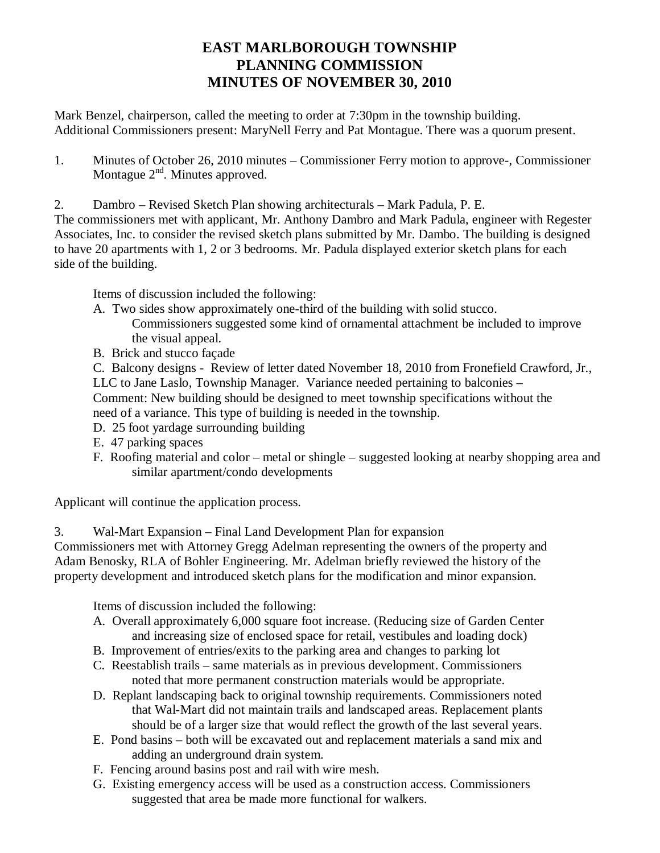## **EAST MARLBOROUGH TOWNSHIP PLANNING COMMISSION MINUTES OF NOVEMBER 30, 2010**

Mark Benzel, chairperson, called the meeting to order at 7:30pm in the township building. Additional Commissioners present: MaryNell Ferry and Pat Montague. There was a quorum present.

1. Minutes of October 26, 2010 minutes – Commissioner Ferry motion to approve-, Commissioner Montague  $2<sup>nd</sup>$ . Minutes approved.

2. Dambro – Revised Sketch Plan showing architecturals – Mark Padula, P. E.

The commissioners met with applicant, Mr. Anthony Dambro and Mark Padula, engineer with Regester Associates, Inc. to consider the revised sketch plans submitted by Mr. Dambo. The building is designed to have 20 apartments with 1, 2 or 3 bedrooms. Mr. Padula displayed exterior sketch plans for each side of the building.

Items of discussion included the following:

- A. Two sides show approximately one-third of the building with solid stucco. Commissioners suggested some kind of ornamental attachment be included to improve the visual appeal.
- B. Brick and stucco façade

C. Balcony designs - Review of letter dated November 18, 2010 from Fronefield Crawford, Jr., LLC to Jane Laslo, Township Manager. Variance needed pertaining to balconies –

Comment: New building should be designed to meet township specifications without the need of a variance. This type of building is needed in the township.

- D. 25 foot yardage surrounding building
- E. 47 parking spaces
- F. Roofing material and color metal or shingle suggested looking at nearby shopping area and similar apartment/condo developments

Applicant will continue the application process.

3. Wal-Mart Expansion – Final Land Development Plan for expansion

Commissioners met with Attorney Gregg Adelman representing the owners of the property and Adam Benosky, RLA of Bohler Engineering. Mr. Adelman briefly reviewed the history of the property development and introduced sketch plans for the modification and minor expansion.

Items of discussion included the following:

- A. Overall approximately 6,000 square foot increase. (Reducing size of Garden Center and increasing size of enclosed space for retail, vestibules and loading dock)
- B. Improvement of entries/exits to the parking area and changes to parking lot
- C. Reestablish trails same materials as in previous development. Commissioners noted that more permanent construction materials would be appropriate.
- D. Replant landscaping back to original township requirements. Commissioners noted that Wal-Mart did not maintain trails and landscaped areas. Replacement plants should be of a larger size that would reflect the growth of the last several years.
- E. Pond basins both will be excavated out and replacement materials a sand mix and adding an underground drain system.
- F. Fencing around basins post and rail with wire mesh.
- G. Existing emergency access will be used as a construction access. Commissioners suggested that area be made more functional for walkers.